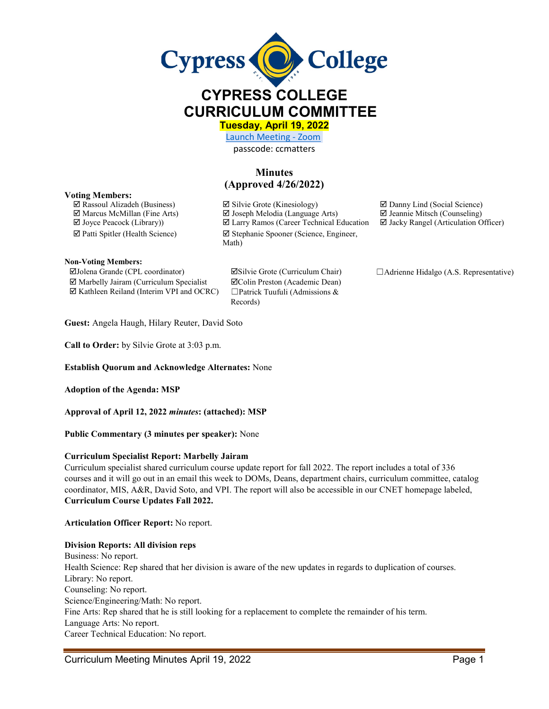

# **CYPRESS COLLEGE CURRICULUM COMMITTEE**

**Tuesday, April 19, 2022** 

[Launch Meeting - Zoom](https://cypresscollege-edu.zoom.us/j/96161669542?pwd=OWYraHlaR0UzOE9QYU9NaXlnSjRIZz09#success)  passcode: ccmatters

# **Minutes (Approved 4/26/2022)**

#### **Voting Members:**

 $\Box$  Rassoul Alizadeh (Business)  $\Box$  Silvie Grote (Kinesiology)  $\Box$  Danny Lind (Social Science)  $\Box$  Marcus McMillan (Fine Arts)  $\Box$  Joseph Melodia (Language Arts)  $\Box$  Jeannie Mitsch (Counseling)  $\Box$  Joyce Peacock (Library))  $\Box$  Larry Ramos (Career Technical Education  $\Box$  Jacky Rangel (Articulation C  $\boxtimes$  Larry Ramos (Career Technical Education  $\boxtimes$  Jacky Rangel (Articulation Officer)  $\boxtimes$  Patti Spitler (Health Science)  $\boxtimes$  Stephanie Spooner (Science, Engineer, Math)

**Non-Voting Members:**

Jolena Grande (CPL coordinator) Silvie Grote (Curriculum Chair) ☐Adrienne Hidalgo (A.S. Representative)  $\boxtimes$  Marbelly Jairam (Curriculum Specialist  $\boxtimes$  Colin Preston (Academic Dean)  $\boxtimes$  Kathleen Reiland (Interim VPI and OCRC)  $\Box$  Patrick Tuufuli (Admissions &

Records)

**Guest:** Angela Haugh, Hilary Reuter, David Soto

**Call to Order:** by Silvie Grote at 3:03 p.m.

**Establish Quorum and Acknowledge Alternates:** None

**Adoption of the Agenda: MSP** 

**Approval of April 12, 2022** *minutes***: (attached): MSP**

**Public Commentary (3 minutes per speaker):** None

#### **Curriculum Specialist Report: Marbelly Jairam**

Curriculum specialist shared curriculum course update report for fall 2022. The report includes a total of 336 courses and it will go out in an email this week to DOMs, Deans, department chairs, curriculum committee, catalog coordinator, MIS, A&R, David Soto, and VPI. The report will also be accessible in our CNET homepage labeled, **Curriculum Course Updates Fall 2022.** 

**Articulation Officer Report:** No report.

#### **Division Reports: All division reps**

Business: No report. Health Science: Rep shared that her division is aware of the new updates in regards to duplication of courses. Library: No report. Counseling: No report. Science/Engineering/Math: No report. Fine Arts: Rep shared that he is still looking for a replacement to complete the remainder of his term. Language Arts: No report. Career Technical Education: No report.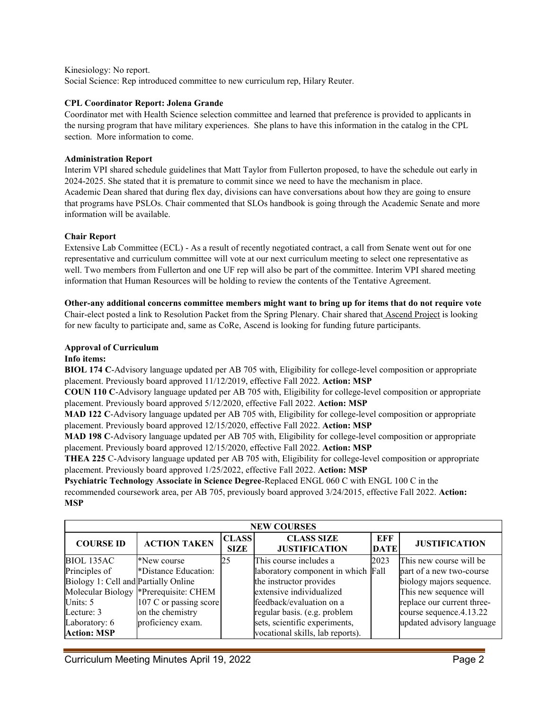Kinesiology: No report.

Social Science: Rep introduced committee to new curriculum rep, Hilary Reuter.

#### **CPL Coordinator Report: Jolena Grande**

Coordinator met with Health Science selection committee and learned that preference is provided to applicants in the nursing program that have military experiences. She plans to have this information in the catalog in the CPL section. More information to come.

#### **Administration Report**

Interim VPI shared schedule guidelines that Matt Taylor from Fullerton proposed, to have the schedule out early in 2024-2025. She stated that it is premature to commit since we need to have the mechanism in place. Academic Dean shared that during flex day, divisions can have conversations about how they are going to ensure that programs have PSLOs. Chair commented that SLOs handbook is going through the Academic Senate and more information will be available.

#### **Chair Report**

Extensive Lab Committee (ECL) - As a result of recently negotiated contract, a call from Senate went out for one representative and curriculum committee will vote at our next curriculum meeting to select one representative as well. Two members from Fullerton and one UF rep will also be part of the committee. Interim VPI shared meeting information that Human Resources will be holding to review the contents of the Tentative Agreement.

## **Other-any additional concerns committee members might want to bring up for items that do not require vote**

Chair-elect posted a link to Resolution Packet from the Spring Plenary. Chair shared that Ascend Project is looking for new faculty to participate and, same as CoRe, Ascend is looking for funding future participants.

## **Approval of Curriculum**

### **Info items:**

**BIOL 174 C**-Advisory language updated per AB 705 with, Eligibility for college-level composition or appropriate placement. Previously board approved 11/12/2019, effective Fall 2022. **Action: MSP**

**COUN 110 C**-Advisory language updated per AB 705 with, Eligibility for college-level composition or appropriate placement. Previously board approved 5/12/2020, effective Fall 2022. **Action: MSP**

**MAD 122 C**-Advisory language updated per AB 705 with, Eligibility for college-level composition or appropriate placement. Previously board approved 12/15/2020, effective Fall 2022. **Action: MSP**

**MAD 198 C**-Advisory language updated per AB 705 with, Eligibility for college-level composition or appropriate placement. Previously board approved 12/15/2020, effective Fall 2022. **Action: MSP** 

**THEA 225** C-Advisory language updated per AB 705 with, Eligibility for college-level composition or appropriate placement. Previously board approved 1/25/2022, effective Fall 2022. **Action: MSP**

**Psychiatric Technology Associate in Science Degree**-Replaced ENGL 060 C with ENGL 100 C in the recommended coursework area, per AB 705, previously board approved 3/24/2015, effective Fall 2022. **Action: MSP**

| <b>NEW COURSES</b>                   |                                       |                             |                                           |                    |                            |  |  |  |
|--------------------------------------|---------------------------------------|-----------------------------|-------------------------------------------|--------------------|----------------------------|--|--|--|
| <b>COURSE ID</b>                     | <b>ACTION TAKEN</b>                   | <b>CLASS</b><br><b>SIZE</b> | <b>CLASS SIZE</b><br><b>JUSTIFICATION</b> | EFF<br><b>DATE</b> | <b>JUSTIFICATION</b>       |  |  |  |
| BIOL 135AC                           | *New course                           | 25                          | This course includes a                    | 2023               | This new course will be    |  |  |  |
| Principles of                        | *Distance Education:                  |                             | laboratory component in which Fall        |                    | part of a new two-course   |  |  |  |
| Biology 1: Cell and Partially Online |                                       |                             | the instructor provides                   |                    | biology majors sequence.   |  |  |  |
|                                      | Molecular Biology *Prerequisite: CHEM |                             | extensive individualized                  |                    | This new sequence will     |  |  |  |
| Units: $5$                           | 107 C or passing score                |                             | feedback/evaluation on a                  |                    | replace our current three- |  |  |  |
| Lecture: 3                           | on the chemistry                      |                             | regular basis. (e.g. problem              |                    | course sequence.4.13.22    |  |  |  |
| Laboratory: 6                        | proficiency exam.                     |                             | sets, scientific experiments,             |                    | updated advisory language  |  |  |  |
| <b>Action: MSP</b>                   |                                       |                             | vocational skills, lab reports).          |                    |                            |  |  |  |